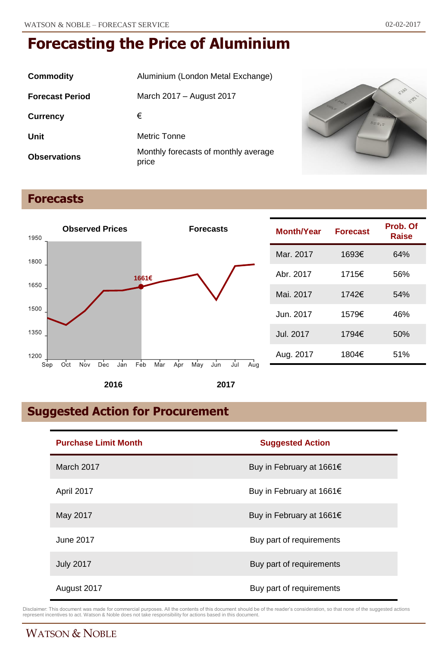| Commodity              | Aluminium (London Metal Exchange)             |
|------------------------|-----------------------------------------------|
| <b>Forecast Period</b> | March 2017 – August 2017                      |
| <b>Currency</b>        | €                                             |
| Unit                   | Metric Tonne                                  |
| <b>Observations</b>    | Monthly forecasts of monthly average<br>price |



## **Forecasts**



| <b>Month/Year</b> | <b>Forecast</b> | Prob. Of<br>Raise |
|-------------------|-----------------|-------------------|
| Mar. 2017         | 1693€           | 64%               |
| Abr. 2017         | 1715€           | 56%               |
| Mai. 2017         | 1742€           | 54%               |
| Jun. 2017         | 1579€           | 46%               |
| Jul. 2017         | 1794€           | 50%               |
| Aug. 2017         | 1804€           | 51%               |

## **Suggested Action for Procurement**

| <b>Purchase Limit Month</b> | <b>Suggested Action</b>  |
|-----------------------------|--------------------------|
| March 2017                  | Buy in February at 1661€ |
| April 2017                  | Buy in February at 1661€ |
| May 2017                    | Buy in February at 1661€ |
| June 2017                   | Buy part of requirements |
| <b>July 2017</b>            | Buy part of requirements |
| August 2017                 | Buy part of requirements |

Disclaimer: This document was made for commercial purposes. All the contents of this document should be of the reader's consideration, so that none of the suggested actions<br>represent incentives to act. Watson & Noble does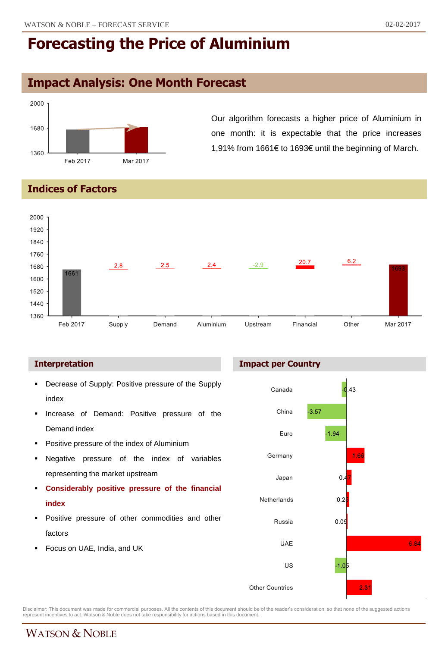## **Impact Analysis: One Month Forecast**



Our algorithm forecasts a higher price of Aluminium in one month: it is expectable that the price increases 1,91% from 1661€ to 1693€ until the beginning of March.

**Indices of Factors**



### **Interpretation**

- Decrease of Supply: Positive pressure of the Supply index
- **Increase of Demand: Positive pressure of the** Demand index
- Positive pressure of the index of Aluminium
- Negative pressure of the index of variables representing the market upstream
- **Considerably positive pressure of the financial index**
- Positive pressure of other commodities and other factors
- Focus on UAE, India, and UK

### **Impact per Country**



Disclaimer: This document was made for commercial purposes. All the contents of this document should be of the reader's consideration, so that none of the suggested actions<br>represent incentives to act. Watson & Noble does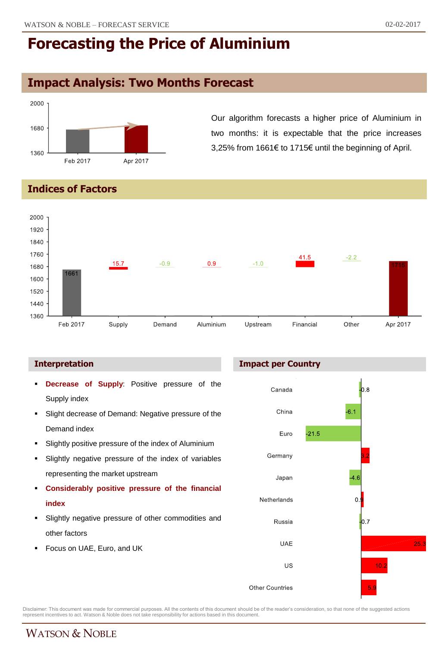## **Impact Analysis: Two Months Forecast**



Our algorithm forecasts a higher price of Aluminium in two months: it is expectable that the price increases 3,25% from 1661€ to 1715€ until the beginning of April.

### **Indices of Factors**



- **Decrease of Supply**: Positive pressure of the Supply index
- **Slight decrease of Demand: Negative pressure of the** Demand index
- Slightly positive pressure of the index of Aluminium
- **Slightly negative pressure of the index of variables** representing the market upstream
- **Considerably positive pressure of the financial index**
- Slightly negative pressure of other commodities and other factors
- Focus on UAE, Euro, and UK

### **Interpretation Impact per Country**



Disclaimer: This document was made for commercial purposes. All the contents of this document should be of the reader's consideration, so that none of the suggested actions<br>represent incentives to act. Watson & Noble does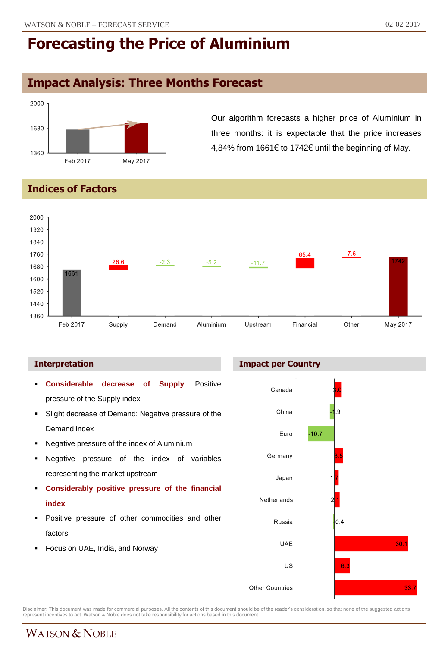$33.7$ 

# **Forecasting the Price of Aluminium**

## **Impact Analysis: Three Months Forecast**



Our algorithm forecasts a higher price of Aluminium in three months: it is expectable that the price increases 4,84% from 1661€ to 1742€ until the beginning of May.

### **Indices of Factors**



### **Interpretation Impact per Country**

 **Considerable decrease of Supply**: Positive Canada pressure of the Supply index China **Slight decrease of Demand: Negative pressure of the** Demand index  $-10.7$ Euro Negative pressure of the index of Aluminium Germany Negative pressure of the index of variables representing the market upstream Japan **Considerably positive pressure of the financial** Netherlands **index** Positive pressure of other commodities and other Russia  $0.4$ factors **UAE** 30. Focus on UAE, India, and Norway US  $6.3$ **Other Countries** 

Disclaimer: This document was made for commercial purposes. All the contents of this document should be of the reader's consideration, so that none of the suggested actions<br>represent incentives to act. Watson & Noble does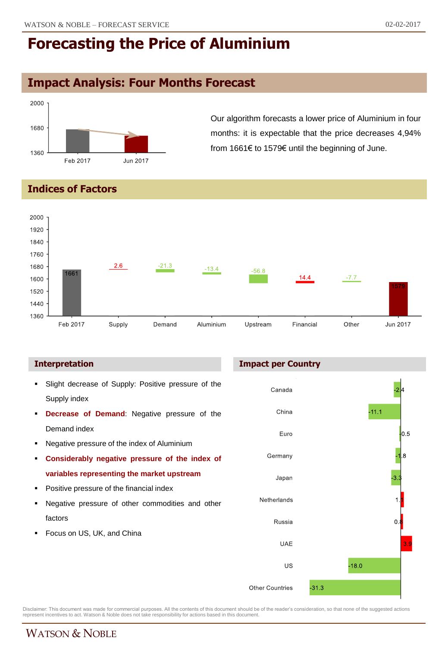## **Impact Analysis: Four Months Forecast**



Our algorithm forecasts a lower price of Aluminium in four months: it is expectable that the price decreases 4,94% from 1661€ to 1579€ until the beginning of June.

### **Indices of Factors**



- **Slight decrease of Supply: Positive pressure of the** Supply index
- **Decrease of Demand**: Negative pressure of the Demand index
- Negative pressure of the index of Aluminium
- **Considerably negative pressure of the index of variables representing the market upstream**
- **Positive pressure of the financial index**
- Negative pressure of other commodities and other factors
- Focus on US, UK, and China

### **Interpretation Impact per Country**



Disclaimer: This document was made for commercial purposes. All the contents of this document should be of the reader's consideration, so that none of the suggested actions<br>represent incentives to act. Watson & Noble does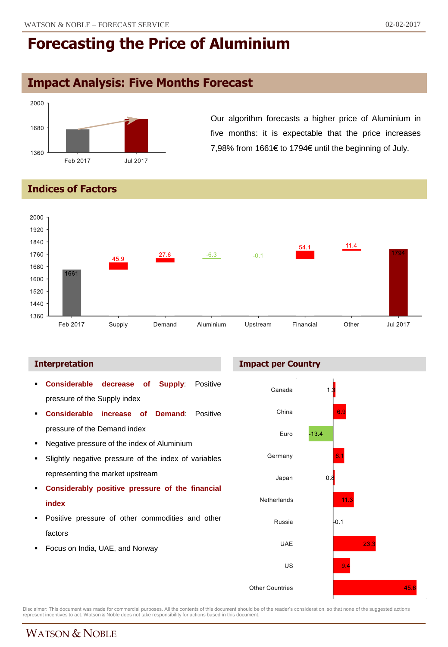## **Impact Analysis: Five Months Forecast**



Our algorithm forecasts a higher price of Aluminium in five months: it is expectable that the price increases 7,98% from 1661€ to 1794€ until the beginning of July.

### **Indices of Factors**



### **Interpretation Impact per Country**

 **Considerable decrease of Supply**: Positive Canada pressure of the Supply index China **Considerable increase of Demand**: Positive pressure of the Demand index  $-13.4$ Euro Negative pressure of the index of Aluminium Germany Slightly negative pressure of the index of variables representing the market upstream Japan  $\mathbf{0}$  **Considerably positive pressure of the financial**  $11.3$ Netherlands **index** Positive pressure of other commodities and other Russia  $0.1$ factors **UAE**  Focus on India, UAE, and Norway US  $9.4$ 45.6 Other Countries

Disclaimer: This document was made for commercial purposes. All the contents of this document should be of the reader's consideration, so that none of the suggested actions<br>represent incentives to act. Watson & Noble does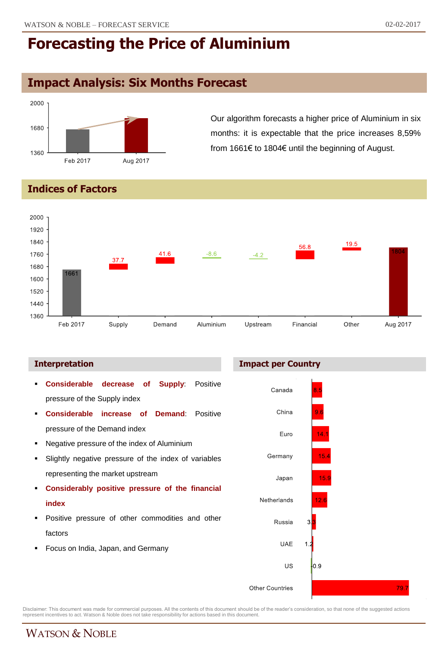## **Impact Analysis: Six Months Forecast**



Our algorithm forecasts a higher price of Aluminium in six months: it is expectable that the price increases 8,59% from 1661€ to 1804€ until the beginning of August.

### **Indices of Factors**



### **Interpretation Impact per Country**



Disclaimer: This document was made for commercial purposes. All the contents of this document should be of the reader's consideration, so that none of the suggested actions<br>represent incentives to act. Watson & Noble does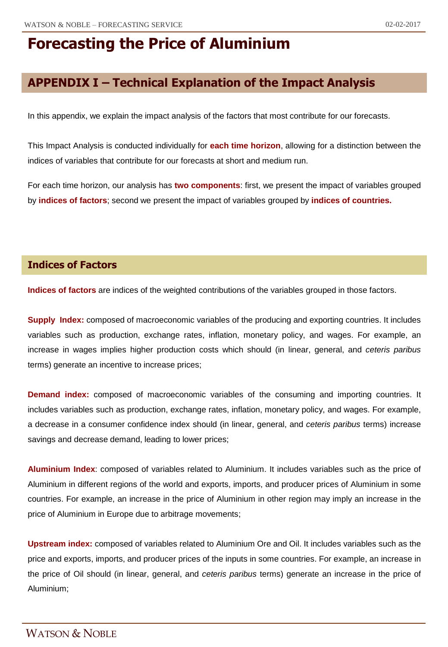## **APPENDIX I – Technical Explanation of the Impact Analysis**

In this appendix, we explain the impact analysis of the factors that most contribute for our forecasts.

This Impact Analysis is conducted individually for **each time horizon**, allowing for a distinction between the indices of variables that contribute for our forecasts at short and medium run.

For each time horizon, our analysis has **two components**: first, we present the impact of variables grouped by **indices of factors**; second we present the impact of variables grouped by **indices of countries.**

### **Indices of Factors**

**Indices of factors** are indices of the weighted contributions of the variables grouped in those factors.

**Supply Index:** composed of macroeconomic variables of the producing and exporting countries. It includes variables such as production, exchange rates, inflation, monetary policy, and wages. For example, an increase in wages implies higher production costs which should (in linear, general, and *ceteris paribus* terms) generate an incentive to increase prices;

**Demand index:** composed of macroeconomic variables of the consuming and importing countries. It includes variables such as production, exchange rates, inflation, monetary policy, and wages. For example, a decrease in a consumer confidence index should (in linear, general, and *ceteris paribus* terms) increase savings and decrease demand, leading to lower prices;

**Aluminium Index**: composed of variables related to Aluminium. It includes variables such as the price of Aluminium in different regions of the world and exports, imports, and producer prices of Aluminium in some countries. For example, an increase in the price of Aluminium in other region may imply an increase in the price of Aluminium in Europe due to arbitrage movements;

**Upstream index:** composed of variables related to Aluminium Ore and Oil. It includes variables such as the price and exports, imports, and producer prices of the inputs in some countries. For example, an increase in the price of Oil should (in linear, general, and *ceteris paribus* terms) generate an increase in the price of Aluminium;